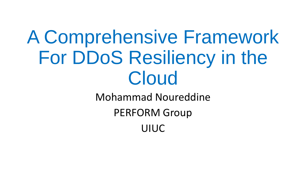# A Comprehensive Framework For DDoS Resiliency in the Cloud Mohammad Noureddine

PERFORM Group

UIUC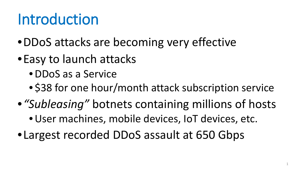### Introduction

- •DDoS attacks are becoming very effective
- •Easy to launch attacks
	- •DDoS as a Service
	- \$38 for one hour/month attack subscription service
- •*"Subleasing"* botnets containing millions of hosts
	- •User machines, mobile devices, IoT devices, etc.
- •Largest recorded DDoS assault at 650 Gbps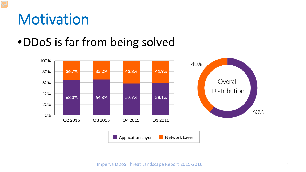#### **Motivation**

#### •DDoS is far from being solved



Imperva DDoS Threat Landscape Report 2015-2016 2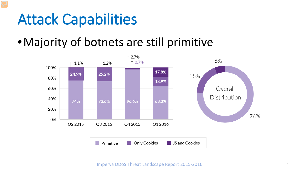#### Attack Capabilities

#### •Majority of botnets are still primitive



Imperva DDoS Threat Landscape Report 2015-2016 3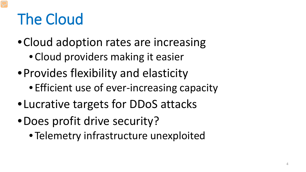## The Cloud

- Cloud adoption rates are increasing
	- Cloud providers making it easier
- •Provides flexibility and elasticity
	- Efficient use of ever-increasing capacity
- •Lucrative targets for DDoS attacks
- •Does profit drive security?
	- Telemetry infrastructure unexploited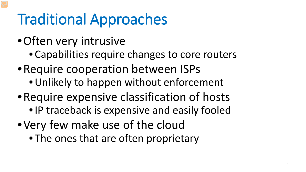## Traditional Approaches

- •Often very intrusive
	- Capabilities require changes to core routers
- •Require cooperation between ISPs
	- •Unlikely to happen without enforcement
- •Require expensive classification of hosts
	- •IP traceback is expensive and easily fooled
- •Very few make use of the cloud
	- The ones that are often proprietary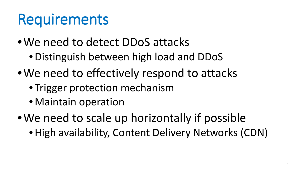### Requirements

- •We need to detect DDoS attacks
	- •Distinguish between high load and DDoS
- We need to effectively respond to attacks
	- Trigger protection mechanism
	- Maintain operation
- We need to scale up horizontally if possible
	- •High availability, Content Delivery Networks (CDN)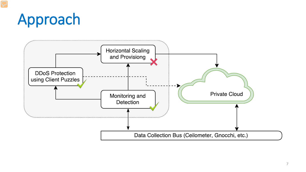### Approach

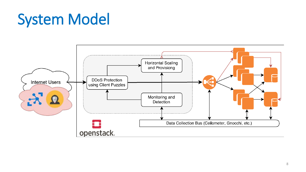### System Model

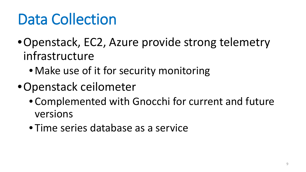### Data Collection

- •Openstack, EC2, Azure provide strong telemetry infrastructure
	- Make use of it for security monitoring
- •Openstack ceilometer
	- Complemented with Gnocchi for current and future versions
	- Time series database as a service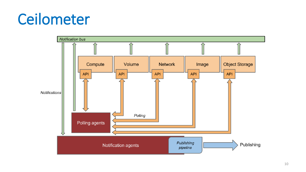### Ceilometer

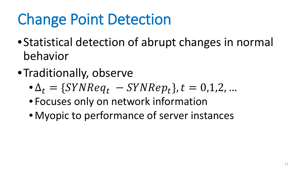## Change Point Detection

- •Statistical detection of abrupt changes in normal behavior
- •Traditionally, observe
	- $\Delta_t = \{SYNReq_t SYNRep_t\}, t = 0, 1, 2, ...$
	- Focuses only on network information
	- Myopic to performance of server instances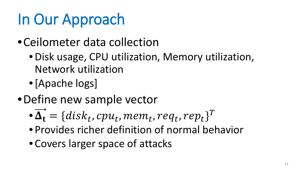### In Our Approach

- •Ceilometer data collection
	- •Disk usage, CPU utilization, Memory utilization, Network utilization
	- •[Apache logs]
- •Define new sample vector
	- $\mathbf{\overrightarrow{A_t}} = \{disk_t, cpu_t, mem_t, req_t, rep_t\}^T$
	- Provides richer definition of normal behavior
	- Covers larger space of attacks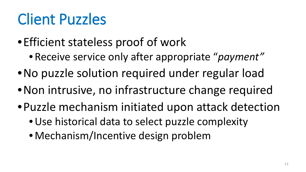### Client Puzzles

- •Efficient stateless proof of work
	- Receive service only after appropriate "*payment"*
- •No puzzle solution required under regular load
- Non intrusive, no infrastructure change required
- •Puzzle mechanism initiated upon attack detection
	- •Use historical data to select puzzle complexity
	- Mechanism/Incentive design problem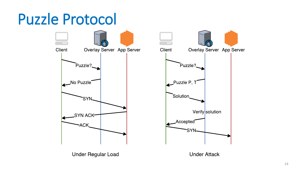#### Puzzle Protocol

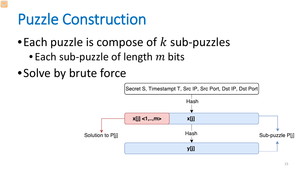#### Puzzle Construction

• Each puzzle is compose of  $k$  sub-puzzles

- Each sub-puzzle of length  $m$  bits
- •Solve by brute force

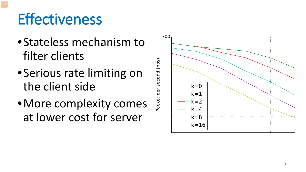### **Effectiveness**

- •Stateless mechanism to filter clients
- •Serious rate limiting on the client side
- •More complexity comes at lower cost for server

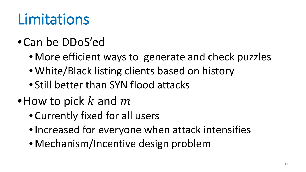### Limitations

#### •Can be DDoS'ed

- More efficient ways to generate and check puzzles
- White/Black listing clients based on history
- Still better than SYN flood attacks
- •How to pick  $k$  and  $m$ 
	- Currently fixed for all users
	- •Increased for everyone when attack intensifies
	- Mechanism/Incentive design problem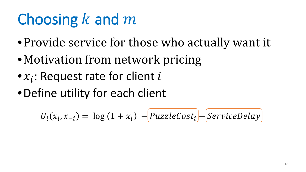### Choosing  $k$  and  $m$

- •Provide service for those who actually want it
- Motivation from network pricing
- $\bullet x_i$ : Request rate for client i
- •Define utility for each client

$$
U_i(x_i, x_{-i}) = \log (1 + x_i) - \boxed{PuzzleCost_i} - \boxed{ServiceDelay}
$$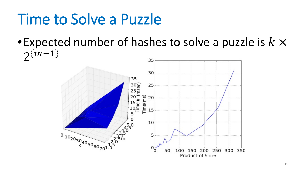### Time to Solve a Puzzle

• Expected number of hashes to solve a puzzle is  $k \times$  $2^{m-1}$ 

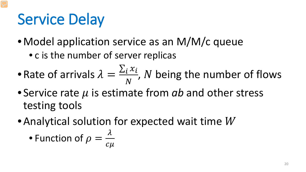### Service Delay

- Model application service as an M/M/c queue
	- c is the number of server replicas
- Rate of arrivals  $\lambda =$  $\sum_i x_i$  $\frac{i^{n}l}{N}$ , N being the number of flows
- Service rate  $\mu$  is estimate from  $ab$  and other stress testing tools
- Analytical solution for expected wait time  $W$

• Function of 
$$
\rho = \frac{\lambda}{c\mu}
$$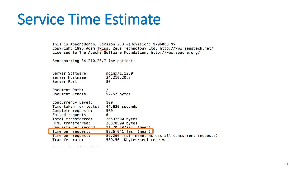#### Service Time Estimate

This is ApacheBench, Version 2.3 <\$Revision: 1706008 \$> Copyright 1996 Adam Twiss, Zeus Technology Ltd, http://www.zeustech.net/ Licensed to The Apache Software Foundation, http://www.apache.org/

Benchmarking 34.210.20.7 (be patient)

|  | Server Software:<br>Server Hostname:<br>Server Port:                                                                                                     | nginx/1.12.0<br>34.210.20.7<br>80                                                                          |
|--|----------------------------------------------------------------------------------------------------------------------------------------------------------|------------------------------------------------------------------------------------------------------------|
|  | Document Path:<br>Document Length:                                                                                                                       | 52757 bytes                                                                                                |
|  | Concurrency Level:<br>Time taken for tests:<br>Complete requests:<br>Failed requests:<br>Total transferred:<br>HTML transferred:<br>Requests per second: | 100<br>44.630 seconds<br>500<br>Ø<br>26532500 bytes<br>26378500 bytes<br>11.20 [#/sec] (mean)              |
|  | Time per request:<br>lime per request:<br>Transfer rate:                                                                                                 | 8926.041 [ms] (mean)<br>89.260 [ms] (mean, across all concurrent requests)<br>580.56 [Kbytes/sec] received |

 $P$  is a set of the set of  $P$  is a set of  $P$  and  $V$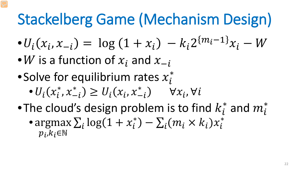### Stackelberg Game (Mechanism Design)

$$
\bullet U_i(x_i, x_{-i}) = \log (1 + x_i) - k_i 2^{\{m_i - 1\}} x_i - W
$$

- W is a function of  $x_i$  and  $x_{-i}$
- Solve for equilibrium rates  $x_i^*$ 
	- $\bullet$   $U_i(x_i^*$ ,  $x_{-i}^*$ ) ≥  $U_i(x_i, x_{-i}^*)$   $\forall x_i, \forall$
- •The cloud's design problem is to find  $k_i^*$  and  $m_i^*$ • argmax  $\sum_i \log(1 + x_i^*) - \sum_i (m_i \times k_i) x_i^*$  $p_i, k_i \in \mathbb{N}$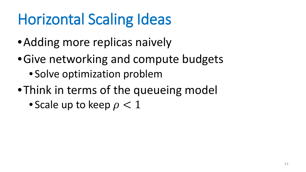## Horizontal Scaling Ideas

- Adding more replicas naively
- •Give networking and compute budgets
	- Solve optimization problem
- •Think in terms of the queueing model
	- Scale up to keep  $\rho < 1$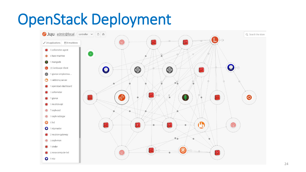### OpenStack Deployment

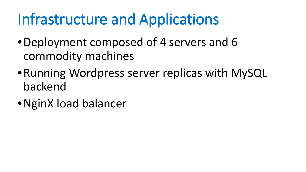## Infrastructure and Applications

- •Deployment composed of 4 servers and 6 commodity machines
- •Running Wordpress server replicas with MySQL backend
- •NginX load balancer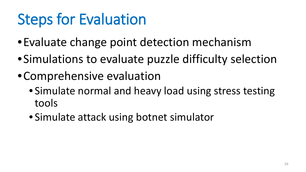### Steps for Evaluation

- •Evaluate change point detection mechanism
- •Simulations to evaluate puzzle difficulty selection
- •Comprehensive evaluation
	- Simulate normal and heavy load using stress testing tools
	- Simulate attack using botnet simulator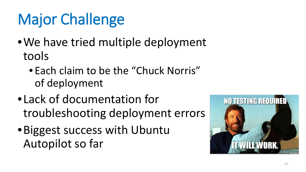# Major Challenge

- We have tried multiple deployment tools
	- Each claim to be the "Chuck Norris" of deployment
- •Lack of documentation for troubleshooting deployment errors
- •Biggest success with Ubuntu Autopilot so far